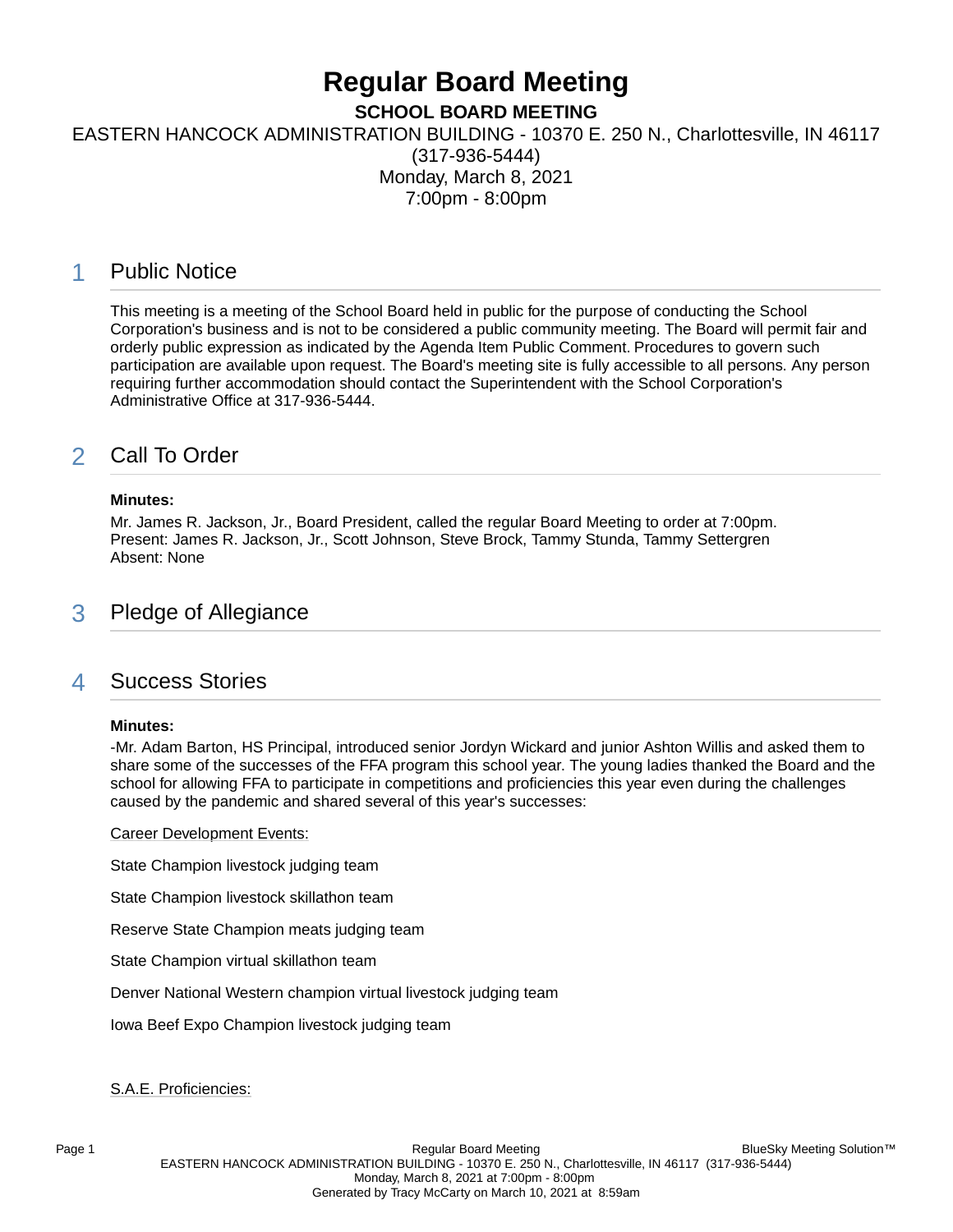# **Regular Board Meeting**

**SCHOOL BOARD MEETING**

EASTERN HANCOCK ADMINISTRATION BUILDING - 10370 E. 250 N., Charlottesville, IN 46117

(317-936-5444) Monday, March 8, 2021 7:00pm - 8:00pm

# 1 Public Notice

This meeting is a meeting of the School Board held in public for the purpose of conducting the School Corporation's business and is not to be considered a public community meeting. The Board will permit fair and orderly public expression as indicated by the Agenda Item Public Comment. Procedures to govern such participation are available upon request. The Board's meeting site is fully accessible to all persons. Any person requiring further accommodation should contact the Superintendent with the School Corporation's Administrative Office at 317-936-5444.

# 2 Call To Order

### **Minutes:**

Mr. James R. Jackson, Jr., Board President, called the regular Board Meeting to order at 7:00pm. Present: James R. Jackson, Jr., Scott Johnson, Steve Brock, Tammy Stunda, Tammy Settergren Absent: None

# 3 Pledge of Allegiance

# 4 Success Stories

### **Minutes:**

-Mr. Adam Barton, HS Principal, introduced senior Jordyn Wickard and junior Ashton Willis and asked them to share some of the successes of the FFA program this school year. The young ladies thanked the Board and the school for allowing FFA to participate in competitions and proficiencies this year even during the challenges caused by the pandemic and shared several of this year's successes:

Career Development Events:

State Champion livestock judging team

State Champion livestock skillathon team

Reserve State Champion meats judging team

State Champion virtual skillathon team

Denver National Western champion virtual livestock judging team

Iowa Beef Expo Champion livestock judging team

S.A.E. Proficiencies: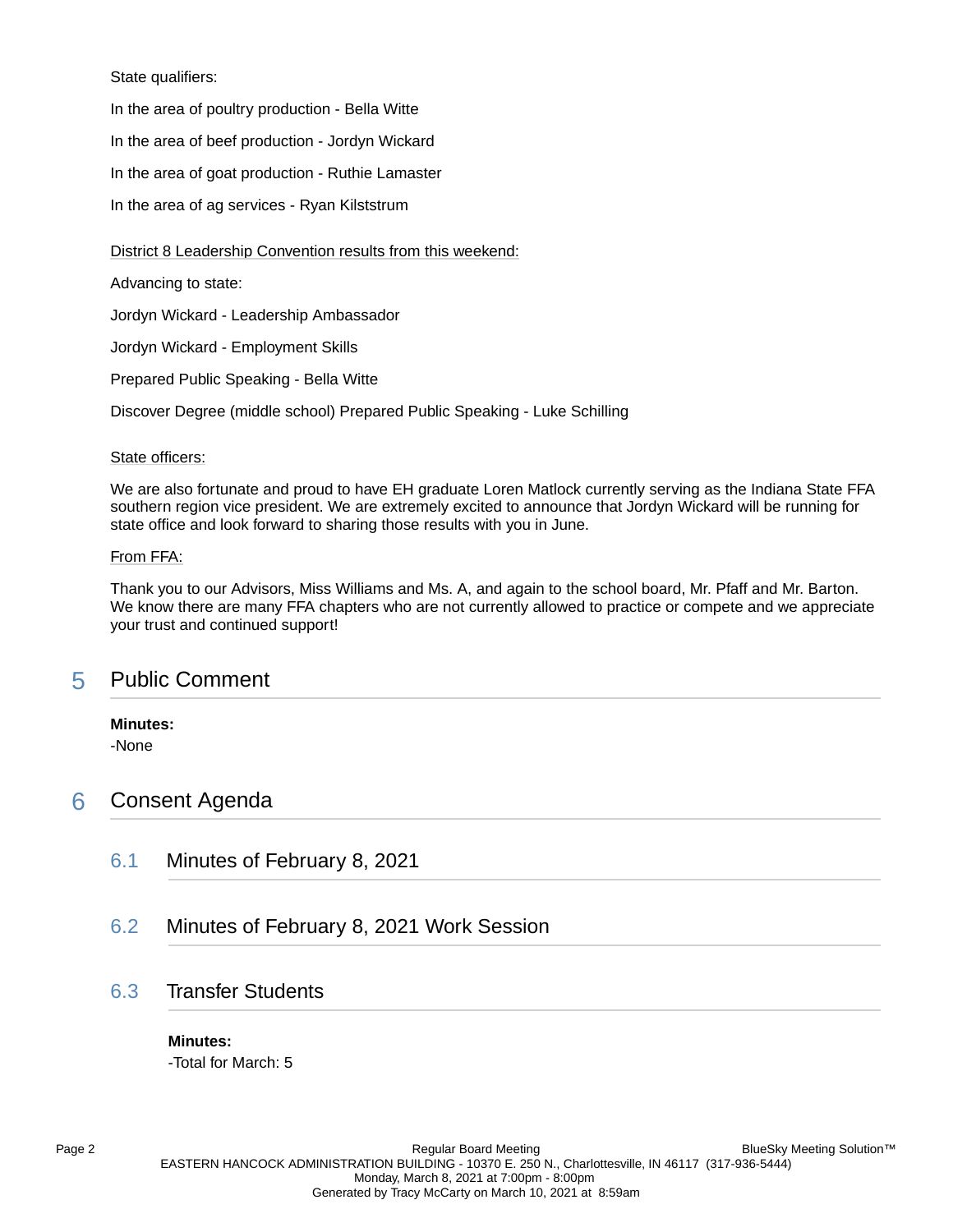### State qualifiers:

In the area of poultry production - Bella Witte

In the area of beef production - Jordyn Wickard

In the area of goat production - Ruthie Lamaster

In the area of ag services - Ryan Kilststrum

### District 8 Leadership Convention results from this weekend:

Advancing to state:

Jordyn Wickard - Leadership Ambassador

Jordyn Wickard - Employment Skills

Prepared Public Speaking - Bella Witte

Discover Degree (middle school) Prepared Public Speaking - Luke Schilling

### State officers:

We are also fortunate and proud to have EH graduate Loren Matlock currently serving as the Indiana State FFA southern region vice president. We are extremely excited to announce that Jordyn Wickard will be running for state office and look forward to sharing those results with you in June.

### From FFA:

Thank you to our Advisors, Miss Williams and Ms. A, and again to the school board, Mr. Pfaff and Mr. Barton. We know there are many FFA chapters who are not currently allowed to practice or compete and we appreciate your trust and continued support!

# 5 Public Comment

### **Minutes:**

-None

# 6 Consent Agenda

- 6.1 Minutes of February 8, 2021
- 6.2 Minutes of February 8, 2021 Work Session

# 6.3 Transfer Students

### **Minutes:**

-Total for March: 5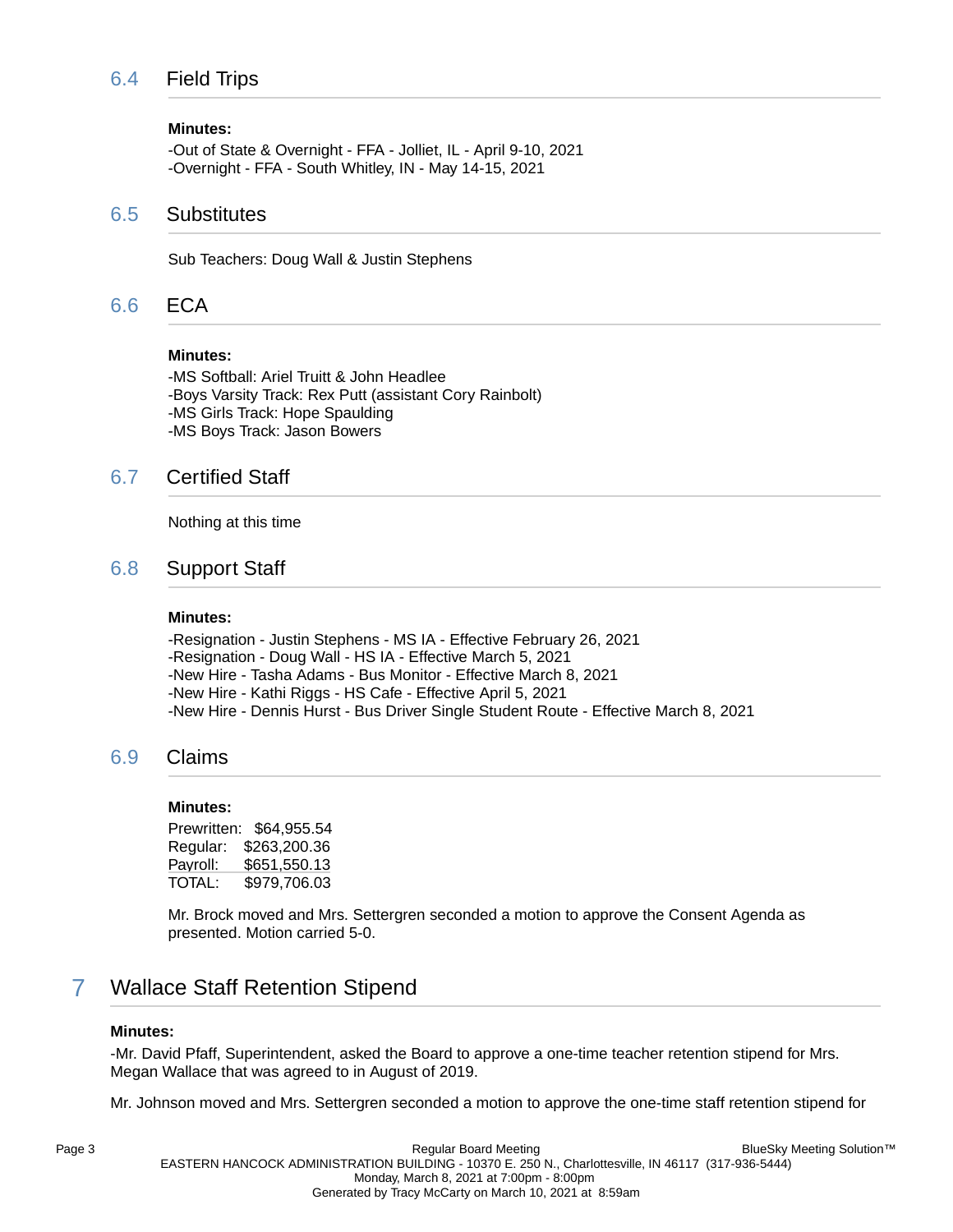# 6.4 Field Trips

### **Minutes:**

-Out of State & Overnight - FFA - Jolliet, IL - April 9-10, 2021 -Overnight - FFA - South Whitley, IN - May 14-15, 2021

### 6.5 Substitutes

Sub Teachers: Doug Wall & Justin Stephens

# 6.6 ECA

### **Minutes:**

-MS Softball: Ariel Truitt & John Headlee -Boys Varsity Track: Rex Putt (assistant Cory Rainbolt) -MS Girls Track: Hope Spaulding -MS Boys Track: Jason Bowers

# 6.7 Certified Staff

Nothing at this time

# 6.8 Support Staff

### **Minutes:**

-Resignation - Justin Stephens - MS IA - Effective February 26, 2021 -Resignation - Doug Wall - HS IA - Effective March 5, 2021 -New Hire - Tasha Adams - Bus Monitor - Effective March 8, 2021 -New Hire - Kathi Riggs - HS Cafe - Effective April 5, 2021 -New Hire - Dennis Hurst - Bus Driver Single Student Route - Effective March 8, 2021

# 6.9 Claims

### **Minutes:**

Prewritten: \$64,955.54 Regular: \$263,200.36 Payroll: \$651,550.13 TOTAL: \$979,706.03

Mr. Brock moved and Mrs. Settergren seconded a motion to approve the Consent Agenda as presented. Motion carried 5-0.

# 7 Wallace Staff Retention Stipend

### **Minutes:**

-Mr. David Pfaff, Superintendent, asked the Board to approve a one-time teacher retention stipend for Mrs. Megan Wallace that was agreed to in August of 2019.

Mr. Johnson moved and Mrs. Settergren seconded a motion to approve the one-time staff retention stipend for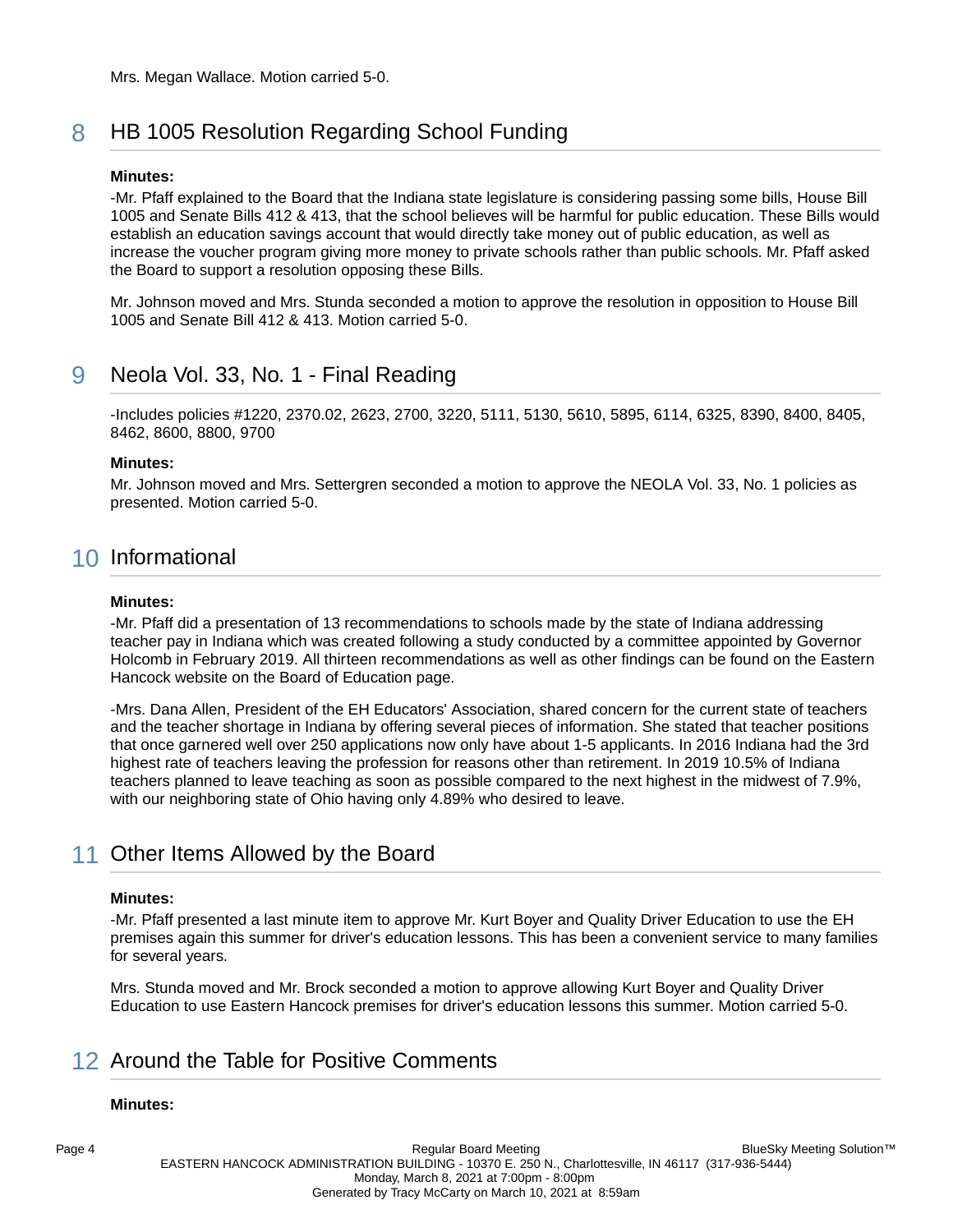# 8 HB 1005 Resolution Regarding School Funding

### **Minutes:**

-Mr. Pfaff explained to the Board that the Indiana state legislature is considering passing some bills, House Bill 1005 and Senate Bills 412 & 413, that the school believes will be harmful for public education. These Bills would establish an education savings account that would directly take money out of public education, as well as increase the voucher program giving more money to private schools rather than public schools. Mr. Pfaff asked the Board to support a resolution opposing these Bills.

Mr. Johnson moved and Mrs. Stunda seconded a motion to approve the resolution in opposition to House Bill 1005 and Senate Bill 412 & 413. Motion carried 5-0.

# 9 Neola Vol. 33, No. 1 - Final Reading

-Includes policies #1220, 2370.02, 2623, 2700, 3220, 5111, 5130, 5610, 5895, 6114, 6325, 8390, 8400, 8405, 8462, 8600, 8800, 9700

### **Minutes:**

Mr. Johnson moved and Mrs. Settergren seconded a motion to approve the NEOLA Vol. 33, No. 1 policies as presented. Motion carried 5-0.

# 10 Informational

### **Minutes:**

-Mr. Pfaff did a presentation of 13 recommendations to schools made by the state of Indiana addressing teacher pay in Indiana which was created following a study conducted by a committee appointed by Governor Holcomb in February 2019. All thirteen recommendations as well as other findings can be found on the Eastern Hancock website on the Board of Education page.

-Mrs. Dana Allen, President of the EH Educators' Association, shared concern for the current state of teachers and the teacher shortage in Indiana by offering several pieces of information. She stated that teacher positions that once garnered well over 250 applications now only have about 1-5 applicants. In 2016 Indiana had the 3rd highest rate of teachers leaving the profession for reasons other than retirement. In 2019 10.5% of Indiana teachers planned to leave teaching as soon as possible compared to the next highest in the midwest of 7.9%, with our neighboring state of Ohio having only 4.89% who desired to leave.

# 11 Other Items Allowed by the Board

### **Minutes:**

-Mr. Pfaff presented a last minute item to approve Mr. Kurt Boyer and Quality Driver Education to use the EH premises again this summer for driver's education lessons. This has been a convenient service to many families for several years.

Mrs. Stunda moved and Mr. Brock seconded a motion to approve allowing Kurt Boyer and Quality Driver Education to use Eastern Hancock premises for driver's education lessons this summer. Motion carried 5-0.

# 12 Around the Table for Positive Comments

### **Minutes:**